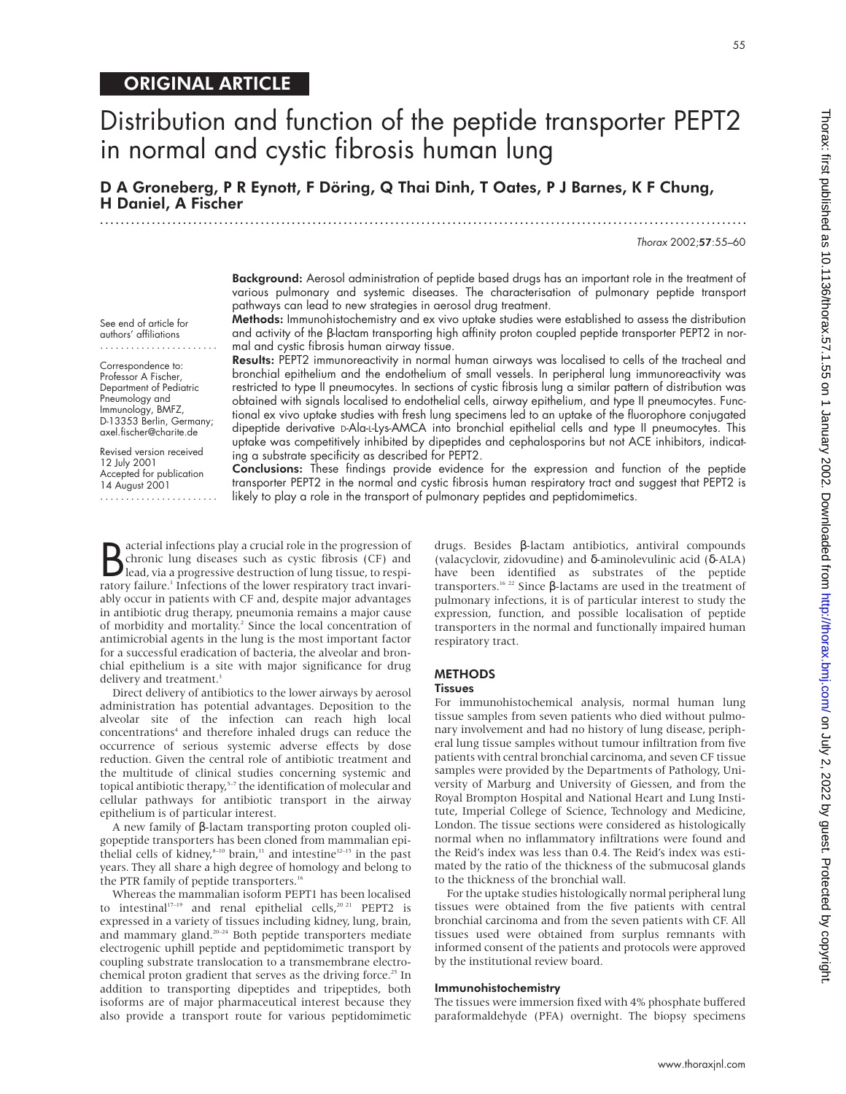# ORIGINAL ARTICLE

# Distribution and function of the peptide transporter PEPT2 in normal and cystic fibrosis human lung

D A Groneberg, P R Eynott, F Döring, Q Thai Dinh, T Oates, P J Barnes, K F Chung, H Daniel, A Fischer .............................................................................................................................

Thorax 2002;57:55–60

Background: Aerosol administration of peptide based drugs has an important role in the treatment of various pulmonary and systemic diseases. The characterisation of pulmonary peptide transport pathways can lead to new strategies in aerosol drug treatment.

See end of article for authors' affiliations .......................

Correspondence to: Professor A Fischer, Department of Pediatric Pneumology and Immunology, BMFZ, D-13353 Berlin, Germany; axel.fischer@charite.de

Revised version received 12 July 2001 Accepted for publication 14 August 2001

.......................

Methods: Immunohistochemistry and ex vivo uptake studies were established to assess the distribution and activity of the β-lactam transporting high affinity proton coupled peptide transporter PEPT2 in normal and cystic fibrosis human airway tissue.

Results: PEPT2 immunoreactivity in normal human airways was localised to cells of the tracheal and bronchial epithelium and the endothelium of small vessels. In peripheral lung immunoreactivity was restricted to type II pneumocytes. In sections of cystic fibrosis lung a similar pattern of distribution was obtained with signals localised to endothelial cells, airway epithelium, and type II pneumocytes. Functional ex vivo uptake studies with fresh lung specimens led to an uptake of the fluorophore conjugated dipeptide derivative D-Ala-L-Lys-AMCA into bronchial epithelial cells and type II pneumocytes. This uptake was competitively inhibited by dipeptides and cephalosporins but not ACE inhibitors, indicating a substrate specificity as described for PEPT2.

Conclusions: These findings provide evidence for the expression and function of the peptide transporter PEPT2 in the normal and cystic fibrosis human respiratory tract and suggest that PEPT2 is likely to play a role in the transport of pulmonary peptides and peptidomimetics.

**B** acterial intections play a crucial role in the progression of chronic lung diseases such as cystic fibrosis (CF) and lead, via a progressive destruction of lung tissue, to respiratory failure <sup>1</sup> Infections of the lowe acterial infections play a crucial role in the progression of chronic lung diseases such as cystic fibrosis (CF) and ratory failure.<sup>1</sup> Infections of the lower respiratory tract invariably occur in patients with CF and, despite major advantages in antibiotic drug therapy, pneumonia remains a major cause of morbidity and mortality.<sup>2</sup> Since the local concentration of antimicrobial agents in the lung is the most important factor for a successful eradication of bacteria, the alveolar and bronchial epithelium is a site with major significance for drug delivery and treatment.<sup>3</sup>

Direct delivery of antibiotics to the lower airways by aerosol administration has potential advantages. Deposition to the alveolar site of the infection can reach high local concentrations<sup>4</sup> and therefore inhaled drugs can reduce the occurrence of serious systemic adverse effects by dose reduction. Given the central role of antibiotic treatment and the multitude of clinical studies concerning systemic and topical antibiotic therapy,<sup>5-7</sup> the identification of molecular and cellular pathways for antibiotic transport in the airway epithelium is of particular interest.

A new family of β-lactam transporting proton coupled oligopeptide transporters has been cloned from mammalian epithelial cells of kidney,<sup>8-10</sup> brain,<sup>11</sup> and intestine<sup>12-15</sup> in the past years. They all share a high degree of homology and belong to the PTR family of peptide transporters.<sup>16</sup>

Whereas the mammalian isoform PEPT1 has been localised to intestinal<sup>17-19</sup> and renal epithelial cells,<sup>20 21</sup> PEPT2 is expressed in a variety of tissues including kidney, lung, brain, and mammary gland.20–24 Both peptide transporters mediate electrogenic uphill peptide and peptidomimetic transport by coupling substrate translocation to a transmembrane electrochemical proton gradient that serves as the driving force.<sup>25</sup> In addition to transporting dipeptides and tripeptides, both isoforms are of major pharmaceutical interest because they also provide a transport route for various peptidomimetic

drugs. Besides β-lactam antibiotics, antiviral compounds (valacyclovir, zidovudine) and δ-aminolevulinic acid (δ-ALA) have been identified as substrates of the peptide transporters.16 22 Since β-lactams are used in the treatment of pulmonary infections, it is of particular interest to study the expression, function, and possible localisation of peptide transporters in the normal and functionally impaired human respiratory tract.

### **METHODS**

#### **Tissues**

For immunohistochemical analysis, normal human lung tissue samples from seven patients who died without pulmonary involvement and had no history of lung disease, peripheral lung tissue samples without tumour infiltration from five patients with central bronchial carcinoma, and seven CF tissue samples were provided by the Departments of Pathology, University of Marburg and University of Giessen, and from the Royal Brompton Hospital and National Heart and Lung Institute, Imperial College of Science, Technology and Medicine, London. The tissue sections were considered as histologically normal when no inflammatory infiltrations were found and the Reid's index was less than 0.4. The Reid's index was estimated by the ratio of the thickness of the submucosal glands to the thickness of the bronchial wall.

For the uptake studies histologically normal peripheral lung tissues were obtained from the five patients with central bronchial carcinoma and from the seven patients with CF. All tissues used were obtained from surplus remnants with informed consent of the patients and protocols were approved by the institutional review board.

#### Immunohistochemistry

The tissues were immersion fixed with 4% phosphate buffered paraformaldehyde (PFA) overnight. The biopsy specimens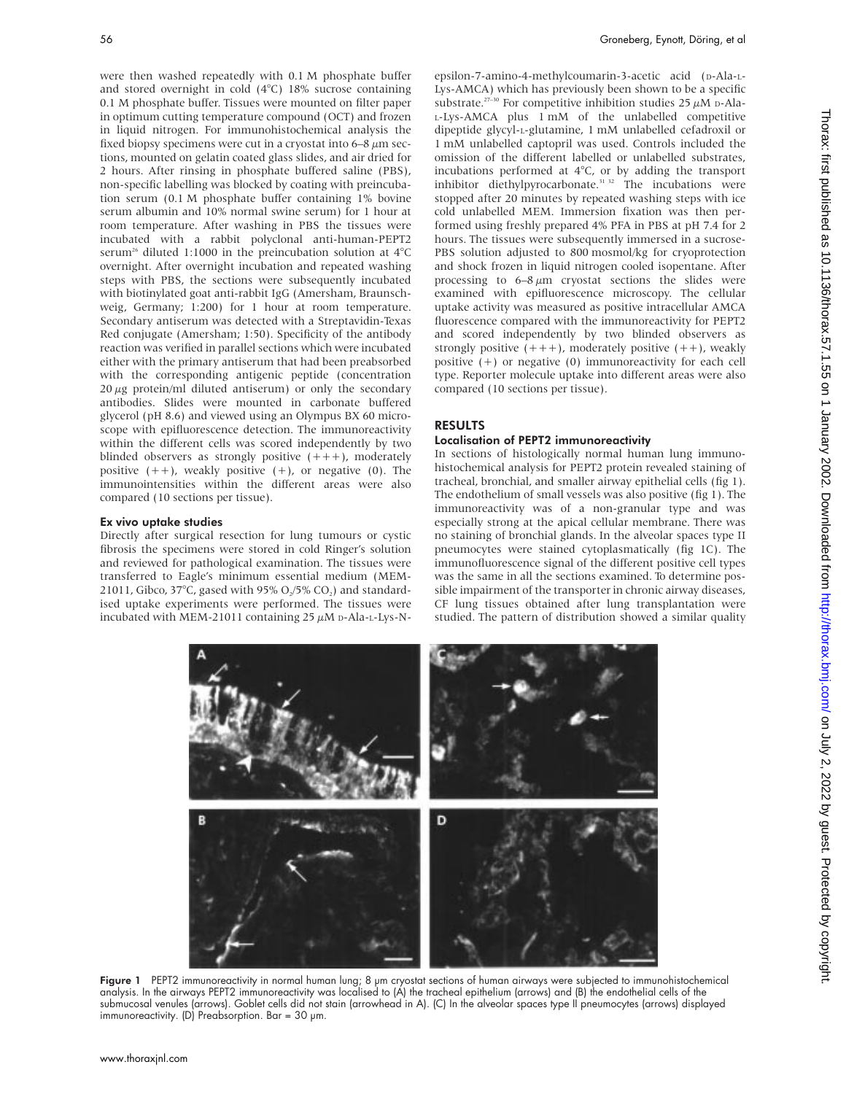were then washed repeatedly with 0.1 M phosphate buffer and stored overnight in cold (4°C) 18% sucrose containing 0.1 M phosphate buffer. Tissues were mounted on filter paper in optimum cutting temperature compound (OCT) and frozen in liquid nitrogen. For immunohistochemical analysis the fixed biopsy specimens were cut in a cryostat into  $6-8 \mu m$  sections, mounted on gelatin coated glass slides, and air dried for 2 hours. After rinsing in phosphate buffered saline (PBS), non-specific labelling was blocked by coating with preincubation serum (0.1 M phosphate buffer containing 1% bovine serum albumin and 10% normal swine serum) for 1 hour at room temperature. After washing in PBS the tissues were incubated with a rabbit polyclonal anti-human-PEPT2 serum<sup>26</sup> diluted 1:1000 in the preincubation solution at  $4^{\circ}$ C overnight. After overnight incubation and repeated washing steps with PBS, the sections were subsequently incubated with biotinylated goat anti-rabbit IgG (Amersham, Braunschweig, Germany; 1:200) for 1 hour at room temperature. Secondary antiserum was detected with a Streptavidin-Texas Red conjugate (Amersham; 1:50). Specificity of the antibody reaction was verified in parallel sections which were incubated either with the primary antiserum that had been preabsorbed with the corresponding antigenic peptide (concentration  $20 \mu$ g protein/ml diluted antiserum) or only the secondary antibodies. Slides were mounted in carbonate buffered glycerol (pH 8.6) and viewed using an Olympus BX 60 microscope with epifluorescence detection. The immunoreactivity within the different cells was scored independently by two blinded observers as strongly positive  $(++)$ , moderately positive  $(++)$ , weakly positive  $(+)$ , or negative  $(0)$ . The immunointensities within the different areas were also compared (10 sections per tissue).

# Ex vivo uptake studies

Directly after surgical resection for lung tumours or cystic fibrosis the specimens were stored in cold Ringer's solution and reviewed for pathological examination. The tissues were transferred to Eagle's minimum essential medium (MEM-21011, Gibco, 37°C, gased with 95% O,/5% CO,) and standardised uptake experiments were performed. The tissues were incubated with MEM-21011 containing  $25 \mu$ M D-Ala-L-Lys-N-

epsilon-7-amino-4-methylcoumarin-3-acetic acid (D-Ala-L-Lys-AMCA) which has previously been shown to be a specific substrate.<sup>27-30</sup> For competitive inhibition studies 25  $\mu$ M D-Ala-L-Lys-AMCA plus 1 mM of the unlabelled competitive dipeptide glycyl-L-glutamine, 1 mM unlabelled cefadroxil or 1 mM unlabelled captopril was used. Controls included the omission of the different labelled or unlabelled substrates, incubations performed at 4°C, or by adding the transport inhibitor diethylpyrocarbonate.<sup>31 32</sup> The incubations were stopped after 20 minutes by repeated washing steps with ice cold unlabelled MEM. Immersion fixation was then performed using freshly prepared 4% PFA in PBS at pH 7.4 for 2 hours. The tissues were subsequently immersed in a sucrose-PBS solution adjusted to 800 mosmol/kg for cryoprotection and shock frozen in liquid nitrogen cooled isopentane. After processing to  $6-8 \mu m$  cryostat sections the slides were examined with epifluorescence microscopy. The cellular uptake activity was measured as positive intracellular AMCA fluorescence compared with the immunoreactivity for PEPT2 and scored independently by two blinded observers as strongly positive  $(++)$ , moderately positive  $(++)$ , weakly positive  $(+)$  or negative  $(0)$  immunoreactivity for each cell type. Reporter molecule uptake into different areas were also compared (10 sections per tissue).

# RESULTS

# Localisation of PEPT2 immunoreactivity

In sections of histologically normal human lung immunohistochemical analysis for PEPT2 protein revealed staining of tracheal, bronchial, and smaller airway epithelial cells (fig 1). The endothelium of small vessels was also positive (fig 1). The immunoreactivity was of a non-granular type and was especially strong at the apical cellular membrane. There was no staining of bronchial glands. In the alveolar spaces type II pneumocytes were stained cytoplasmatically (fig 1C). The immunofluorescence signal of the different positive cell types was the same in all the sections examined. To determine possible impairment of the transporter in chronic airway diseases, CF lung tissues obtained after lung transplantation were studied. The pattern of distribution showed a similar quality



Figure 1 PEPT2 immunoreactivity in normal human lung; 8 µm cryostat sections of human airways were subjected to immunohistochemical analysis. In the airways PEPT2 immunoreactivity was localised to (A) the tracheal epithelium (arrows) and (B) the endothelial cells of the submucosal venules (arrows). Goblet cells did not stain (arrowhead in A). (C) In the alveolar spaces type II pneumocytes (arrows) displayed immunoreactivity. (D) Preabsorption. Bar =  $30 \mu m$ .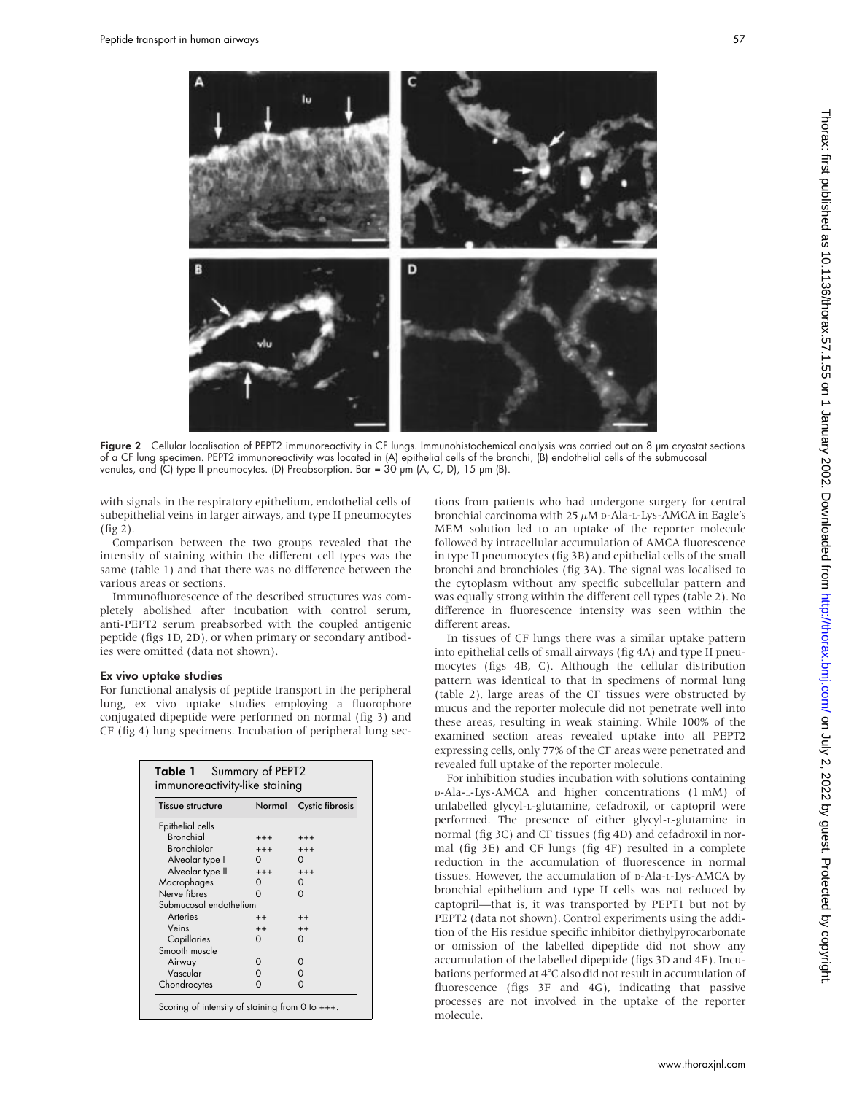

Figure 2 Cellular localisation of PEPT2 immunoreactivity in CF lungs. Immunohistochemical analysis was carried out on 8 µm cryostat sections of a CF lung specimen. PEPT2 immunoreactivity was located in (A) epithelial cells of the bronchi, (B) endothelial cells of the submucosal venules, and  $\overline{C}$  type II pneumocytes. (D) Preabsorption. Bar =  $30 \mu m$  (A, C, D), 15  $\mu m$  (B).

with signals in the respiratory epithelium, endothelial cells of subepithelial veins in larger airways, and type II pneumocytes (fig 2).

Comparison between the two groups revealed that the intensity of staining within the different cell types was the same (table 1) and that there was no difference between the various areas or sections.

Immunofluorescence of the described structures was completely abolished after incubation with control serum, anti-PEPT2 serum preabsorbed with the coupled antigenic peptide (figs 1D, 2D), or when primary or secondary antibodies were omitted (data not shown).

#### Ex vivo uptake studies

For functional analysis of peptide transport in the peripheral lung, ex vivo uptake studies employing a fluorophore conjugated dipeptide were performed on normal (fig 3) and CF (fig 4) lung specimens. Incubation of peripheral lung sec-

| Tissue structure       | Normal   | Cystic fibrosis |
|------------------------|----------|-----------------|
| Epithelial cells       |          |                 |
| <b>Bronchiol</b>       | $^{+++}$ | $^{+++}$        |
| <b>Bronchiolar</b>     | $^{+++}$ | $+++$           |
| Alveolar type I        | 0        |                 |
| Alveolar type II       | $^{+++}$ | $+++$           |
| Macrophages            | 0        | 0               |
| Nerve fibres           | ∩        | ∩               |
| Submucosal endothelium |          |                 |
| Arteries               | $^{++}$  | $++$            |
| Veins                  | $^{++}$  | $++$            |
| Capillaries            | ∩        | ∩               |
| Smooth muscle          |          |                 |
| Airway                 | Ω        | ი               |
| Vascular               | 0        | 0               |
| Chondrocytes           | 0        | 0               |

tions from patients who had undergone surgery for central bronchial carcinoma with  $25 \mu M$  D-Ala-L-Lys-AMCA in Eagle's MEM solution led to an uptake of the reporter molecule followed by intracellular accumulation of AMCA fluorescence in type II pneumocytes (fig 3B) and epithelial cells of the small bronchi and bronchioles (fig 3A). The signal was localised to the cytoplasm without any specific subcellular pattern and was equally strong within the different cell types (table 2). No difference in fluorescence intensity was seen within the different areas.

In tissues of CF lungs there was a similar uptake pattern into epithelial cells of small airways (fig 4A) and type II pneumocytes (figs 4B, C). Although the cellular distribution pattern was identical to that in specimens of normal lung (table 2), large areas of the CF tissues were obstructed by mucus and the reporter molecule did not penetrate well into these areas, resulting in weak staining. While 100% of the examined section areas revealed uptake into all PEPT2 expressing cells, only 77% of the CF areas were penetrated and revealed full uptake of the reporter molecule.

For inhibition studies incubation with solutions containing D-Ala-L-Lys-AMCA and higher concentrations (1 mM) of unlabelled glycyl-L-glutamine, cefadroxil, or captopril were performed. The presence of either glycyl-L-glutamine in normal (fig 3C) and CF tissues (fig 4D) and cefadroxil in normal (fig 3E) and CF lungs (fig 4F) resulted in a complete reduction in the accumulation of fluorescence in normal tissues. However, the accumulation of p-Ala-L-Lys-AMCA by bronchial epithelium and type II cells was not reduced by captopril—that is, it was transported by PEPT1 but not by PEPT2 (data not shown). Control experiments using the addition of the His residue specific inhibitor diethylpyrocarbonate or omission of the labelled dipeptide did not show any accumulation of the labelled dipeptide (figs 3D and 4E). Incubations performed at 4°C also did not result in accumulation of fluorescence (figs 3F and 4G), indicating that passive processes are not involved in the uptake of the reporter molecule.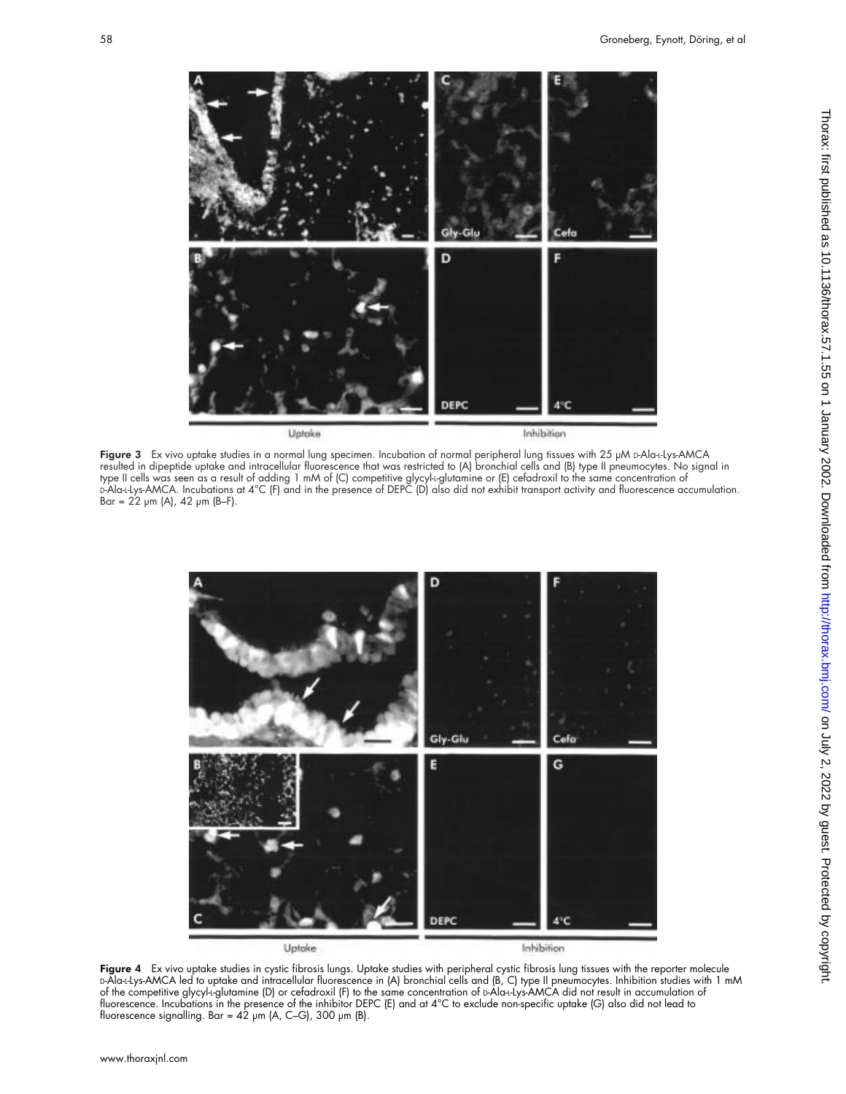

Figure  $3$  Ex vivo uptake studies in a normal lung specimen. Incubation of normal peripheral lung tissues with  $25 \mu M$  D-Ala-Llys-AMCA resulted in dipeptide uptake and intracellular fluorescence that was restricted to (A) bronchial cells and (B) type II pneumocytes. No signal in type II cells was seen as a result of adding 1 mM of (C) competitive glycyl-L-glutamine or (E) cefadroxil to the same concentration of D-Ala-L-Lys-AMCA. Incubations at 4°C (F) and in the presence of DEPC (D) also did not exhibit transport activity and fluorescence accumulation.  $Bar = 22 \, \mu m$  (A), 42  $\mu m$  (B–F).



**Figure 4** Ex vivo uptake studies in cystic fibrosis lungs. Uptake studies with peripheral cystic fibrosis lung tissues with the reporter molecule D-Ala-L-Lys-AMCA led to uptake and intracellular fluorescence in (A) bronchial cells and (B, C) type II pneumocytes. Inhibition studies with 1 mM of the competitive glycyl-L-glutamine (D) or cefadroxil (F) to the same concentration of D-Ala-L-Lys-AMCA did not result in accumulation of fluorescence. Incubations in the presence of the inhibitor DEPC (E) and at 4°C to exclude non-specific uptake (G) also did not lead to fluorescence signalling. Bar = 42 µm (A, C–G), 300 µm (B).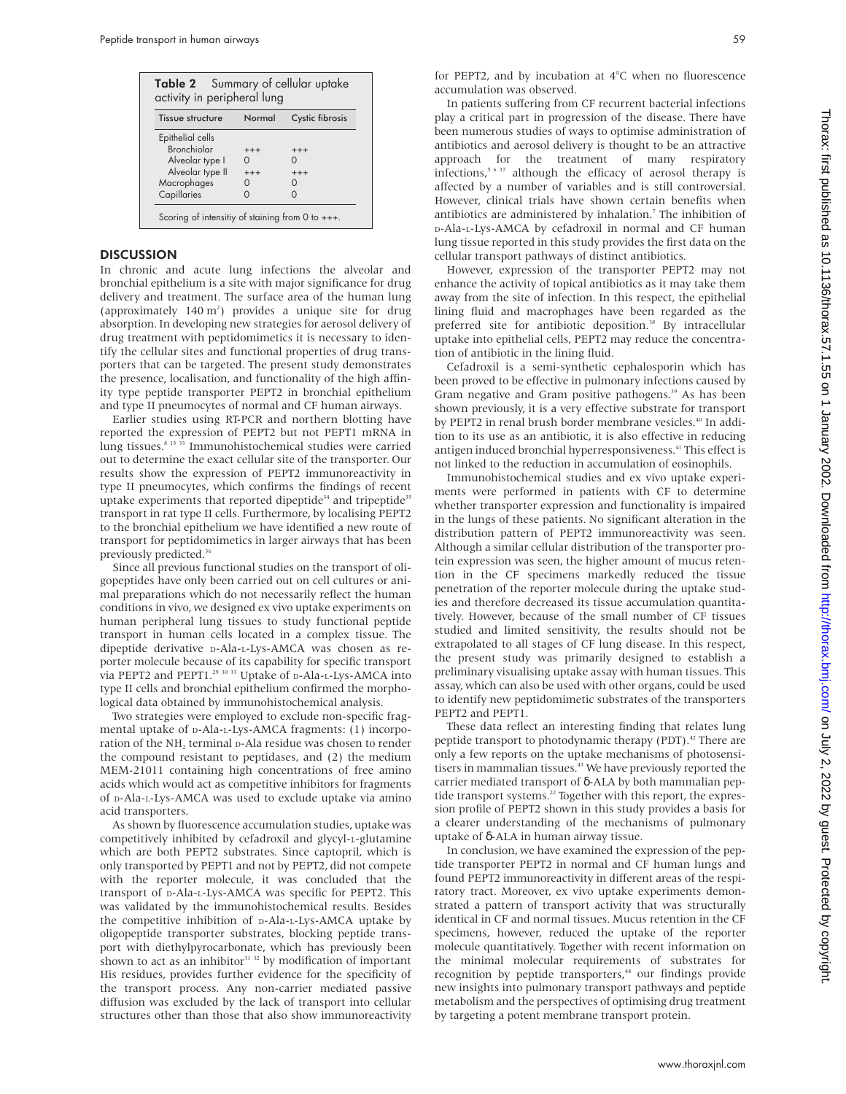| <b>Table 2</b> Summary of cellular uptake<br>activity in peripheral lung |        |                 |  |
|--------------------------------------------------------------------------|--------|-----------------|--|
| Tissue structure                                                         | Normal | Cystic fibrosis |  |
| Epithelial cells                                                         |        |                 |  |
| <b>Bronchiolar</b>                                                       | $+++$  | $^{+++}$        |  |
| Alveolar type I                                                          |        |                 |  |
| Alveolar type II                                                         | $+++$  | $^{+++}$        |  |
| Macrophages                                                              |        |                 |  |
| Capillaries                                                              |        |                 |  |

#### **DISCUSSION**

In chronic and acute lung infections the alveolar and bronchial epithelium is a site with major significance for drug delivery and treatment. The surface area of the human lung (approximately  $140 \text{ m}^2$ ) provides a unique site for drug absorption. In developing new strategies for aerosol delivery of drug treatment with peptidomimetics it is necessary to identify the cellular sites and functional properties of drug transporters that can be targeted. The present study demonstrates the presence, localisation, and functionality of the high affinity type peptide transporter PEPT2 in bronchial epithelium and type II pneumocytes of normal and CF human airways.

Earlier studies using RT-PCR and northern blotting have reported the expression of PEPT2 but not PEPT1 mRNA in lung tissues.8 15 33 Immunohistochemical studies were carried out to determine the exact cellular site of the transporter. Our results show the expression of PEPT2 immunoreactivity in type II pneumocytes, which confirms the findings of recent uptake experiments that reported dipeptide<sup>34</sup> and tripeptide<sup>35</sup> transport in rat type II cells. Furthermore, by localising PEPT2 to the bronchial epithelium we have identified a new route of transport for peptidomimetics in larger airways that has been previously predicted.<sup>36</sup>

Since all previous functional studies on the transport of oligopeptides have only been carried out on cell cultures or animal preparations which do not necessarily reflect the human conditions in vivo, we designed ex vivo uptake experiments on human peripheral lung tissues to study functional peptide transport in human cells located in a complex tissue. The dipeptide derivative D-Ala-L-Lys-AMCA was chosen as reporter molecule because of its capability for specific transport via PEPT2 and PEPT1.29 30 33 Uptake of D-Ala-L-Lys-AMCA into type II cells and bronchial epithelium confirmed the morphological data obtained by immunohistochemical analysis.

Two strategies were employed to exclude non-specific fragmental uptake of D-Ala-L-Lys-AMCA fragments: (1) incorporation of the NH<sub>2</sub> terminal D-Ala residue was chosen to render the compound resistant to peptidases, and (2) the medium MEM-21011 containing high concentrations of free amino acids which would act as competitive inhibitors for fragments of D-Ala-L-Lys-AMCA was used to exclude uptake via amino acid transporters.

As shown by fluorescence accumulation studies, uptake was competitively inhibited by cefadroxil and glycyl-L-glutamine which are both PEPT2 substrates. Since captopril, which is only transported by PEPT1 and not by PEPT2, did not compete with the reporter molecule, it was concluded that the transport of D-Ala-L-Lys-AMCA was specific for PEPT2. This was validated by the immunohistochemical results. Besides the competitive inhibition of D-Ala-L-Lys-AMCA uptake by oligopeptide transporter substrates, blocking peptide transport with diethylpyrocarbonate, which has previously been shown to act as an inhibitor $31$  32 by modification of important His residues, provides further evidence for the specificity of the transport process. Any non-carrier mediated passive diffusion was excluded by the lack of transport into cellular structures other than those that also show immunoreactivity

for PEPT2, and by incubation at 4°C when no fluorescence accumulation was observed.

In patients suffering from CF recurrent bacterial infections play a critical part in progression of the disease. There have been numerous studies of ways to optimise administration of antibiotics and aerosol delivery is thought to be an attractive approach for the treatment of many respiratory infections,<sup>5 6 37</sup> although the efficacy of aerosol therapy is affected by a number of variables and is still controversial. However, clinical trials have shown certain benefits when antibiotics are administered by inhalation.<sup>7</sup> The inhibition of D-Ala-L-Lys-AMCA by cefadroxil in normal and CF human lung tissue reported in this study provides the first data on the cellular transport pathways of distinct antibiotics.

However, expression of the transporter PEPT2 may not enhance the activity of topical antibiotics as it may take them away from the site of infection. In this respect, the epithelial lining fluid and macrophages have been regarded as the preferred site for antibiotic deposition.<sup>38</sup> By intracellular uptake into epithelial cells, PEPT2 may reduce the concentration of antibiotic in the lining fluid.

Cefadroxil is a semi-synthetic cephalosporin which has been proved to be effective in pulmonary infections caused by Gram negative and Gram positive pathogens.<sup>39</sup> As has been shown previously, it is a very effective substrate for transport by PEPT2 in renal brush border membrane vesicles.<sup>40</sup> In addition to its use as an antibiotic, it is also effective in reducing antigen induced bronchial hyperresponsiveness.<sup>41</sup> This effect is not linked to the reduction in accumulation of eosinophils.

Immunohistochemical studies and ex vivo uptake experiments were performed in patients with CF to determine whether transporter expression and functionality is impaired in the lungs of these patients. No significant alteration in the distribution pattern of PEPT2 immunoreactivity was seen. Although a similar cellular distribution of the transporter protein expression was seen, the higher amount of mucus retention in the CF specimens markedly reduced the tissue penetration of the reporter molecule during the uptake studies and therefore decreased its tissue accumulation quantitatively. However, because of the small number of CF tissues studied and limited sensitivity, the results should not be extrapolated to all stages of CF lung disease. In this respect, the present study was primarily designed to establish a preliminary visualising uptake assay with human tissues. This assay, which can also be used with other organs, could be used to identify new peptidomimetic substrates of the transporters PEPT2 and PEPT1.

These data reflect an interesting finding that relates lung peptide transport to photodynamic therapy (PDT).<sup>42</sup> There are only a few reports on the uptake mechanisms of photosensitisers in mammalian tissues.<sup>43</sup> We have previously reported the carrier mediated transport of δ-ALA by both mammalian peptide transport systems.<sup>22</sup> Together with this report, the expression profile of PEPT2 shown in this study provides a basis for a clearer understanding of the mechanisms of pulmonary uptake of δ-ALA in human airway tissue.

In conclusion, we have examined the expression of the peptide transporter PEPT2 in normal and CF human lungs and found PEPT2 immunoreactivity in different areas of the respiratory tract. Moreover, ex vivo uptake experiments demonstrated a pattern of transport activity that was structurally identical in CF and normal tissues. Mucus retention in the CF specimens, however, reduced the uptake of the reporter molecule quantitatively. Together with recent information on the minimal molecular requirements of substrates for recognition by peptide transporters,<sup>44</sup> our findings provide new insights into pulmonary transport pathways and peptide metabolism and the perspectives of optimising drug treatment by targeting a potent membrane transport protein.